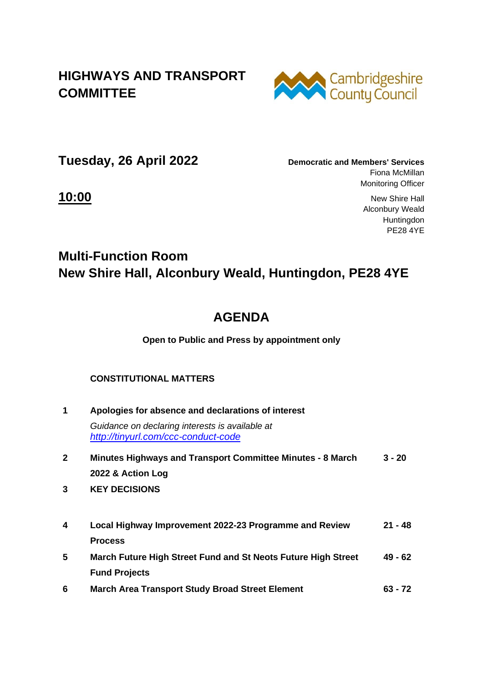## **HIGHWAYS AND TRANSPORT COMMITTEE**



**Tuesday, 26 April 2022 Democratic and Members' Services**

Fiona McMillan Monitoring Officer

**10:00** New Shire Hall Alconbury Weald Huntingdon PE28 4YE

## **Multi-Function Room New Shire Hall, Alconbury Weald, Huntingdon, PE28 4YE**

# **AGENDA**

### **Open to Public and Press by appointment only**

## **CONSTITUTIONAL MATTERS**

| 1            | Apologies for absence and declarations of interest                                     |           |  |
|--------------|----------------------------------------------------------------------------------------|-----------|--|
|              | Guidance on declaring interests is available at<br>http://tinyurl.com/ccc-conduct-code |           |  |
| $\mathbf{2}$ | Minutes Highways and Transport Committee Minutes - 8 March                             | $3 - 20$  |  |
|              | 2022 & Action Log                                                                      |           |  |
| 3            | <b>KEY DECISIONS</b>                                                                   |           |  |
| 4            | Local Highway Improvement 2022-23 Programme and Review                                 | $21 - 48$ |  |
|              | <b>Process</b>                                                                         |           |  |
| 5            | March Future High Street Fund and St Neots Future High Street                          | $49 - 62$ |  |
|              | <b>Fund Projects</b>                                                                   |           |  |
| 6            | <b>March Area Transport Study Broad Street Element</b>                                 | $63 - 72$ |  |